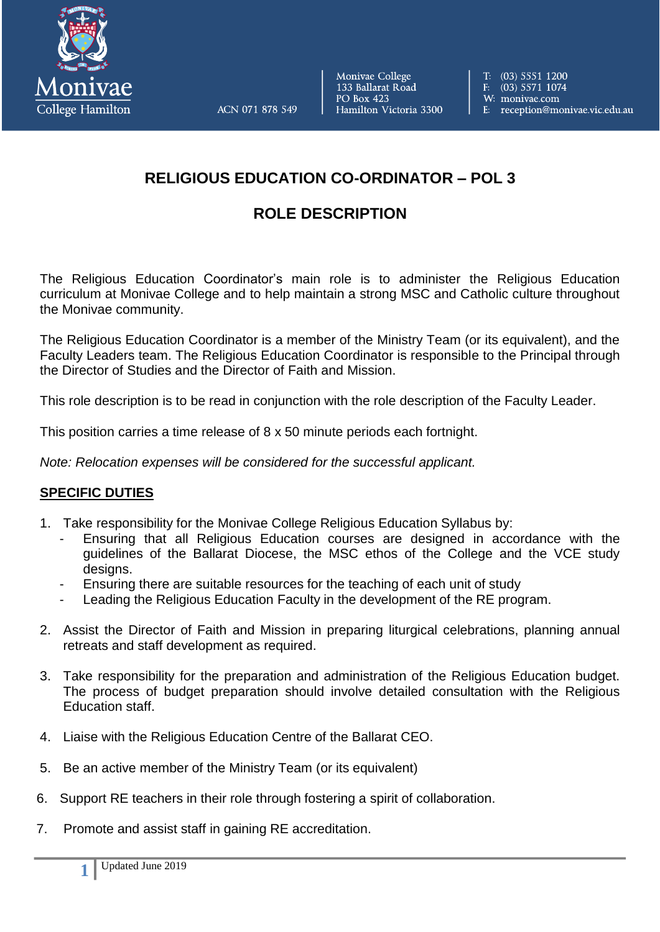

ACN 071 878 549

Monivae College 133 Ballarat Road **PO Box 423** Hamilton Victoria 3300 T: (03) 5551 1200 F:  $(03)$  5571 1074 W: monivae.com E: reception@monivae.vic.edu.au

## **RELIGIOUS EDUCATION CO-ORDINATOR – POL 3**

## **ROLE DESCRIPTION**

The Religious Education Coordinator's main role is to administer the Religious Education curriculum at Monivae College and to help maintain a strong MSC and Catholic culture throughout the Monivae community.

The Religious Education Coordinator is a member of the Ministry Team (or its equivalent), and the Faculty Leaders team. The Religious Education Coordinator is responsible to the Principal through the Director of Studies and the Director of Faith and Mission.

This role description is to be read in conjunction with the role description of the Faculty Leader.

This position carries a time release of 8 x 50 minute periods each fortnight.

*Note: Relocation expenses will be considered for the successful applicant.*

## **SPECIFIC DUTIES**

- 1. Take responsibility for the Monivae College Religious Education Syllabus by:
	- Ensuring that all Religious Education courses are designed in accordance with the guidelines of the Ballarat Diocese, the MSC ethos of the College and the VCE study designs.
	- Ensuring there are suitable resources for the teaching of each unit of study
	- Leading the Religious Education Faculty in the development of the RE program.
- 2. Assist the Director of Faith and Mission in preparing liturgical celebrations, planning annual retreats and staff development as required.
- 3. Take responsibility for the preparation and administration of the Religious Education budget. The process of budget preparation should involve detailed consultation with the Religious Education staff.
- 4. Liaise with the Religious Education Centre of the Ballarat CEO.
- 5. Be an active member of the Ministry Team (or its equivalent)
- 6. Support RE teachers in their role through fostering a spirit of collaboration.
- 7. Promote and assist staff in gaining RE accreditation.

**1**